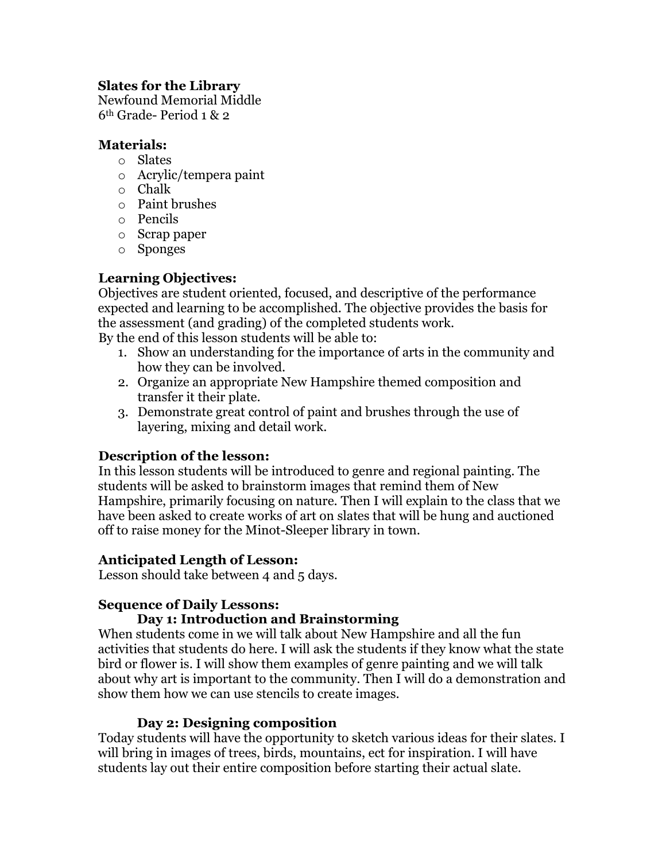# **Slates for the Library**

Newfound Memorial Middle 6th Grade- Period 1 & 2

#### **Materials:**

- o Slates
- o Acrylic/tempera paint
- o Chalk
- o Paint brushes
- o Pencils
- o Scrap paper
- o Sponges

# **Learning Objectives:**

Objectives are student oriented, focused, and descriptive of the performance expected and learning to be accomplished. The objective provides the basis for the assessment (and grading) of the completed students work. By the end of this lesson students will be able to:

- 1. Show an understanding for the importance of arts in the community and how they can be involved.
- 2. Organize an appropriate New Hampshire themed composition and transfer it their plate.
- 3. Demonstrate great control of paint and brushes through the use of layering, mixing and detail work.

# **Description of the lesson:**

In this lesson students will be introduced to genre and regional painting. The students will be asked to brainstorm images that remind them of New Hampshire, primarily focusing on nature. Then I will explain to the class that we have been asked to create works of art on slates that will be hung and auctioned off to raise money for the Minot-Sleeper library in town.

# **Anticipated Length of Lesson:**

Lesson should take between 4 and 5 days.

# **Sequence of Daily Lessons:**

# **Day 1: Introduction and Brainstorming**

When students come in we will talk about New Hampshire and all the fun activities that students do here. I will ask the students if they know what the state bird or flower is. I will show them examples of genre painting and we will talk about why art is important to the community. Then I will do a demonstration and show them how we can use stencils to create images.

# **Day 2: Designing composition**

Today students will have the opportunity to sketch various ideas for their slates. I will bring in images of trees, birds, mountains, ect for inspiration. I will have students lay out their entire composition before starting their actual slate.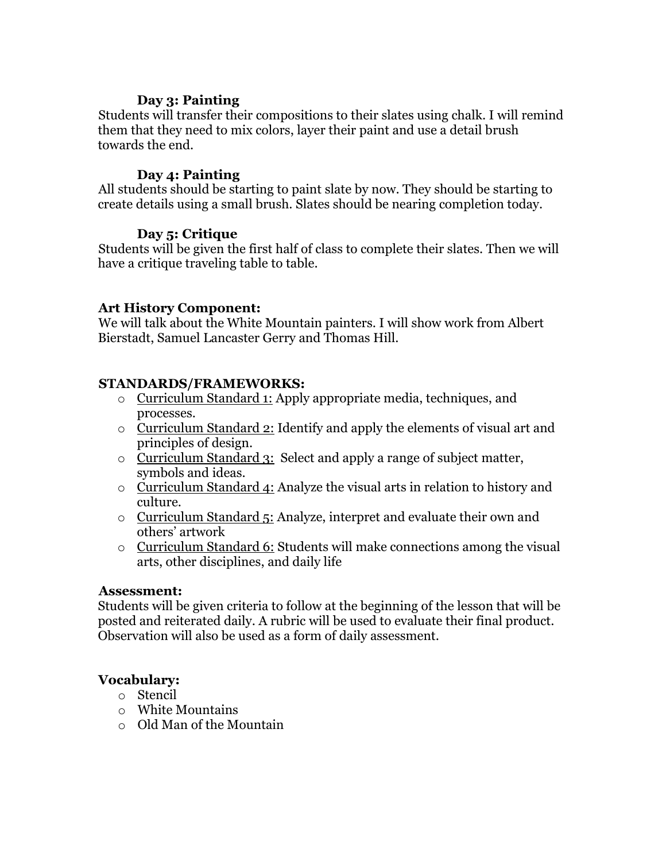#### **Day 3: Painting**

Students will transfer their compositions to their slates using chalk. I will remind them that they need to mix colors, layer their paint and use a detail brush towards the end.

#### **Day 4: Painting**

All students should be starting to paint slate by now. They should be starting to create details using a small brush. Slates should be nearing completion today.

#### **Day 5: Critique**

Students will be given the first half of class to complete their slates. Then we will have a critique traveling table to table.

# **Art History Component:**

We will talk about the White Mountain painters. I will show work from Albert Bierstadt, Samuel Lancaster Gerry and Thomas Hill.

# **STANDARDS/FRAMEWORKS:**

- o Curriculum Standard 1: Apply appropriate media, techniques, and processes.
- o Curriculum Standard 2: Identify and apply the elements of visual art and principles of design.
- o Curriculum Standard 3: Select and apply a range of subject matter, symbols and ideas.
- o Curriculum Standard 4: Analyze the visual arts in relation to history and culture.
- o Curriculum Standard 5: Analyze, interpret and evaluate their own and others' artwork
- o Curriculum Standard 6: Students will make connections among the visual arts, other disciplines, and daily life

#### **Assessment:**

Students will be given criteria to follow at the beginning of the lesson that will be posted and reiterated daily. A rubric will be used to evaluate their final product. Observation will also be used as a form of daily assessment.

# **Vocabulary:**

- o Stencil
- o White Mountains
- o Old Man of the Mountain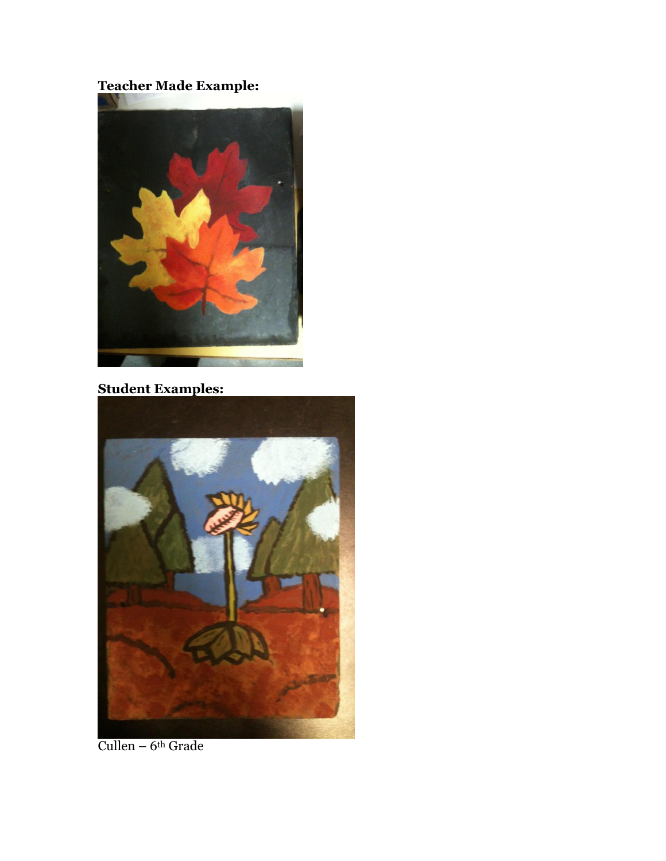# Teacher Made Example:



# **Student Examples:**



Cullen –  $6<sup>th</sup>$  Grade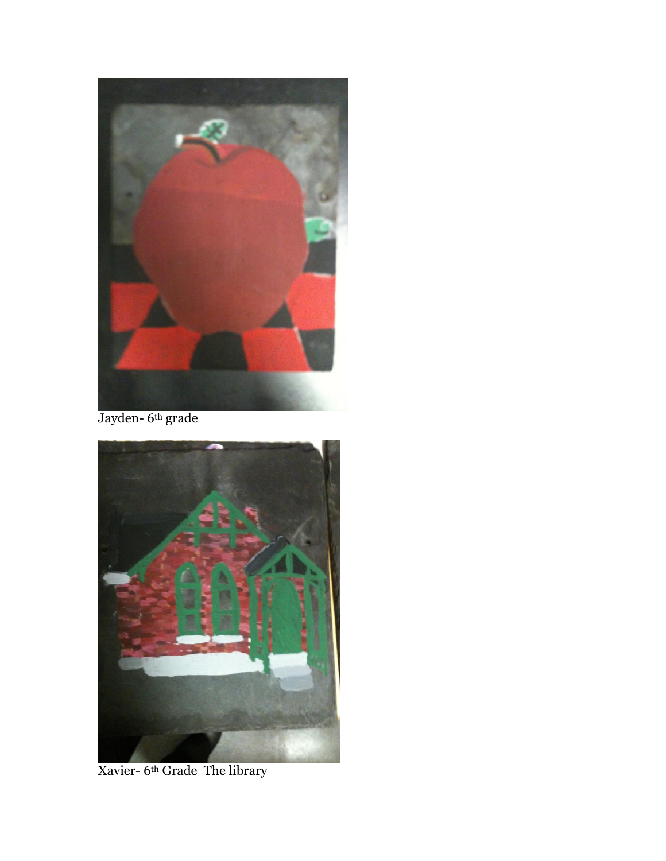

Jayden- 6th grade



Xavier- 6th Grade The library